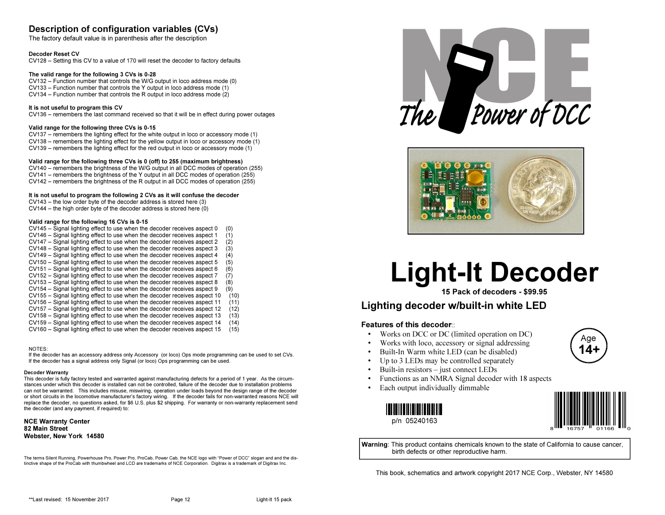# Description of configuration variables (CVs)

The factory default value is in parenthesis after the description

#### Decoder Reset CV

CV128 – Setting this CV to a value of 170 will reset the decoder to factory defaults

#### The valid range for the following 3 CVs is 0-28

 CV132 – Function number that controls the W/G output in loco address mode (0)CV133 – Function number that controls the Y output in loco address mode (1)CV134 – Function number that controls the R output in loco address mode (2)

#### It is not useful to program this CV

CV136 – remembers the last command received so that it will be in effect during power outages

#### Valid range for the following three CVs is 0-15

 CV137 – remembers the lighting effect for the white output in loco or accessory mode (1) CV138 – remembers the lighting effect for the yellow output in loco or accessory mode (1) $CV139$  – remembers the lighting effect for the red output in loco or accessory mode (1)

#### Valid range for the following three CVs is 0 (off) to 255 (maximum brightness)

 CV140 – remembers the brightness of the W/G output in all DCC modes of operation (255)CV141 – remembers the brightness of the Y output in all DCC modes of operation (255)CV142 – remembers the brightness of the R output in all DCC modes of operation (255)

#### It is not useful to program the following 2 CVs as it will confuse the decoder

CV143 – the low order byte of the decoder address is stored here (3)

CV144 – the high order byte of the decoder address is stored here (0)

#### Valid range for the following 16 CVs is 0-15

- CV145 Signal lighting effect to use when the decoder receives aspect 0 (0) $(1)$ CV146 – Signal lighting effect to use when the decoder receives aspect 1
- CV147 Signal lighting effect to use when the decoder receives aspect 2 (2)
- $(3)$ CV148 – Signal lighting effect to use when the decoder receives aspect 3
- $(4)$ CV149 – Signal lighting effect to use when the decoder receives aspect 4
- CV150 Signal lighting effect to use when the decoder receives aspect 5 (5)
- $(6)$ CV151 – Signal lighting effect to use when the decoder receives aspect 6
- $(7)$  $CV152 - Signal$  lighting effect to use when the decoder receives aspect  $7$
- CV153 Signal lighting effect to use when the decoder receives aspect 8 (8)
- $(9)$ CV154 – Signal lighting effect to use when the decoder receives aspect 9
- CV155 Signal lighting effect to use when the decoder receives aspect 10 (10)
- $(11)$ CV156 – Signal lighting effect to use when the decoder receives aspect 11
- $(12)$ CV157 – Signal lighting effect to use when the decoder receives aspect 12
- $(13)$ CV158 – Signal lighting effect to use when the decoder receives aspect 13
- $(14)$ CV159 – Signal lighting effect to use when the decoder receives aspect 14  $(15)$ CV160 – Signal lighting effect to use when the decoder receives aspect 15

#### NOTES:

 If the decoder has an accessory address only Accessory (or loco) Ops mode programming can be used to set CVs.If the decoder has a signal address only Signal (or loco) Ops programming can be used.

#### Decoder Warranty

 This decoder is fully factory tested and warranted against manufacturing defects for a period of 1 year. As the circumstances under which this decoder is installed can not be controlled, failure of the decoder due to installation problems can not be warranted. This includes misuse, miswiring, operation under loads beyond the design range of the decoder or short circuits in the locomotive manufacturer's factory wiring. If the decoder fails for non-warranted reasons NCE will replace the decoder, no questions asked, for \$6 U.S. plus \$2 shipping. For warranty or non-warranty replacement send the decoder (and any payment, if required) to:

NCE Warranty Center82 Main StreetWebster, New York 14580

The terms Silent Running, Powerhouse Pro, Power Pro, ProCab, Power Cab, the NCE logo with "Power of DCC" slogan and and the distinctive shape of the ProCab with thumbwheel and LCD are trademarks of NCE Corporation. Digitrax is a trademark of Digitrax Inc.





# Light-It Decoder

15 Pack of decoders - \$99.95

# Lighting decoder w/built-in white LED

# Features of this decoder::

- Works on DCC or DC (limited operation on DC) •
- •Works with loco, accessory or signal addressing
- •Built-In Warm white LED (can be disabled)
- •Up to 3 LEDs may be controlled separately
- •Built-in resistors – just connect LEDs
- Functions as an NMRA Signal decoder with 18 aspects •
- •Each output individually dimmable

05240163p/n 05240163



Age14+

Warning: This product contains chemicals known to the state of California to cause cancer, birth defects or other reproductive harm.

This book, schematics and artwork copyright 2017 NCE Corp., Webster, NY 14580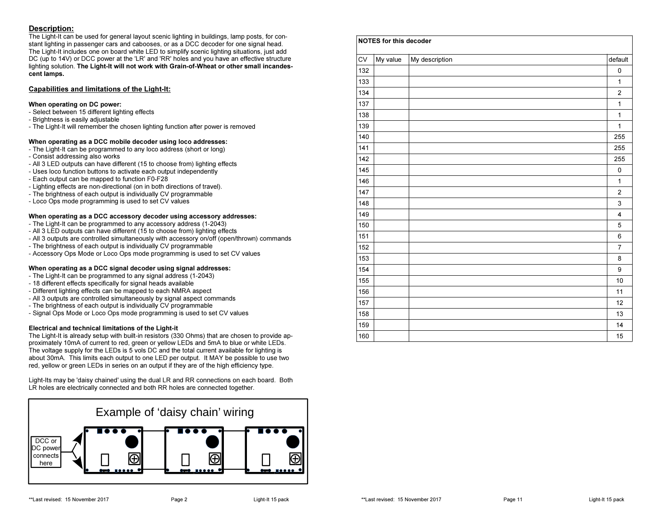# Description:

 The Light-It can be used for general layout scenic lighting in buildings, lamp posts, for constant lighting in passenger cars and cabooses, or as a DCC decoder for one signal head. The Light-It includes one on board white LED to simplify scenic lighting situations, just add DC (up to 14V) or DCC power at the 'LR' and 'RR' holes and you have an effective structure lighting solution. The Light-It will not work with Grain-of-Wheat or other small incandescent lamps.

# Capabilities and limitations of the Light-It:

#### When operating on DC power:

- Select between 15 different lighting effects
- Brightness is easily adjustable
- The Light-It will remember the chosen lighting function after power is removed

# When operating as a DCC mobile decoder using loco addresses:

- The Light-It can be programmed to any loco address (short or long)
- Consist addressing also works
- All 3 LED outputs can have different (15 to choose from) lighting effects
- Uses loco function buttons to activate each output independently
- Each output can be mapped to function F0-F28
- Lighting effects are non-directional (on in both directions of travel).
- The brightness of each output is individually CV programmable
- Loco Ops mode programming is used to set CV values

# When operating as a DCC accessory decoder using accessory addresses:

- The Light-It can be programmed to any accessory address (1-2043)
- All 3 LED outputs can have different (15 to choose from) lighting effects
- All 3 outputs are controlled simultaneously with accessory on/off (open/thrown) commands
- The brightness of each output is individually CV programmable
- Accessory Ops Mode or Loco Ops mode programming is used to set CV values

# When operating as a DCC signal decoder using signal addresses:

- The Light-It can be programmed to any signal address (1-2043)
- 18 different effects specifically for signal heads available
- Different lighting effects can be mapped to each NMRA aspect
- All 3 outputs are controlled simultaneously by signal aspect commands
- The brightness of each output is individually CV programmable
- Signal Ops Mode or Loco Ops mode programming is used to set CV values

#### Electrical and technical limitations of the Light-it

 The Light-It is already setup with built-in resistors (330 Ohms) that are chosen to provide approximately 10mA of current to red, green or yellow LEDs and 5mA to blue or white LEDs. The voltage supply for the LEDs is 5 vols DC and the total current available for lighting is about 30mA. This limits each output to one LED per output. It MAY be possible to use two red, yellow or green LEDs in series on an output if they are of the high efficiency type.

Light-Its may be 'daisy chained' using the dual LR and RR connections on each board. Both LR holes are electrically connected and both RR holes are connected together.



| <b>CV</b> | My value | My description | default        |
|-----------|----------|----------------|----------------|
| 132       |          |                | 0              |
| 133       |          |                | $\mathbf{1}$   |
| 134       |          |                | $\overline{2}$ |
| 137       |          |                | $\mathbf{1}$   |
| 138       |          |                | $\mathbf{1}$   |
| 139       |          |                | $\mathbf{1}$   |
| 140       |          |                | 255            |
| 141       |          |                | 255            |
| 142       |          |                | 255            |
| 145       |          |                | 0              |
| 146       |          |                | $\mathbf{1}$   |
| 147       |          |                | $\overline{2}$ |
| 148       |          |                | 3              |
| 149       |          |                | 4              |
| 150       |          |                | 5              |
| 151       |          |                | 6              |
| 152       |          |                | $\overline{7}$ |
| 153       |          |                | 8              |
| 154       |          |                | 9              |
| 155       |          |                | 10             |
| 156       |          |                | 11             |
| 157       |          |                | 12             |
| 158       |          |                | 13             |
| 159       |          |                | 14             |
| 160       |          |                | 15             |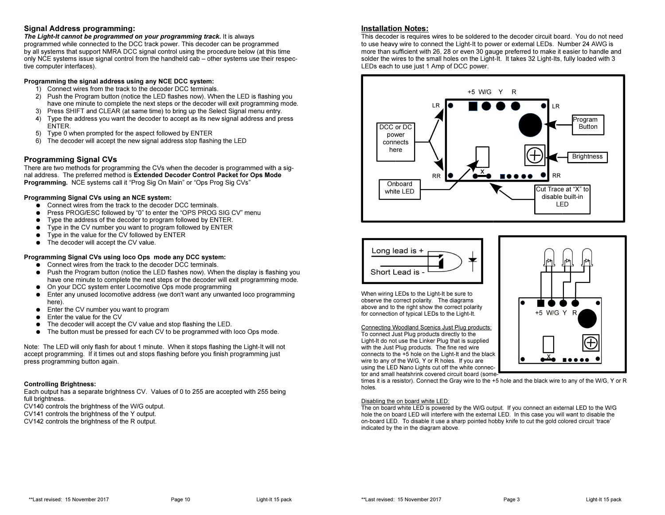# Signal Address programming:

 The Light-It cannot be programmed on your programming track. It is always programmed while connected to the DCC track power. This decoder can be programmed by all systems that support NMRA DCC signal control using the procedure below (at this time only NCE systems issue signal control from the handheld cab – other systems use their respective computer interfaces).

# Programming the signal address using any NCE DCC system:

- 1) Connect wires from the track to the decoder DCC terminals.
- 2) Push the Program button (notice the LED flashes now). When the LED is flashing you have one minute to complete the next steps or the decoder will exit programming mode.
- 3) Press SHIFT and CLEAR (at same time) to bring up the Select Signal menu entry.
- 4) Type the address you want the decoder to accept as its new signal address and press ENTER.
- 5) Type 0 when prompted for the aspect followed by ENTER
- 6) The decoder will accept the new signal address stop flashing the LED

# Programming Signal CVs

 There are two methods for programming the CVs when the decoder is programmed with a signal address. The preferred method is Extended Decoder Control Packet for Ops Mode Programming. NCE systems call it "Prog Sig On Main" or "Ops Prog Sig CVs"

# Programming Signal CVs using an NCE system:

- Connect wires from the track to the decoder DCC terminals.
- $\bullet$ Press PROG/ESC followed by "0" to enter the "OPS PROG SIG CV" menu
- $\bullet$ Type the address of the decoder to program followed by ENTER.
- $\bullet$ Type in the CV number you want to program followed by ENTER
- $\bullet$ Type in the value for the CV followed by ENTER
- The decoder will accept the CV value.

# Programming Signal CVs using loco Ops mode any DCC system:

- Connect wires from the track to the decoder DCC terminals.<br>● Puch the Pregram button (poties the LED flashes nov), 14th
- Push the Program button (notice the LED flashes now). When the display is flashing you<br>have ano minute to complete the next stape of the deceder will exit programming mode have one minute to complete the next steps or the decoder will exit programming mode.
- On your DCC system enter Locomotive Ops mode programming<br>● Enter any unused locomotive address (we den't want any unuse
- ● Enter any unused locomotive address (we don't want any unwanted loco programming here).
- $\bullet$  Enter the CV number you want to program  $\bullet$
- $\bullet$ Enter the value for the CV
- $\bullet$ The decoder will accept the CV value and stop flashing the LED.
- $\bullet$ The button must be pressed for each CV to be programmed with loco Ops mode.

Note: The LED will only flash for about 1 minute. When it stops flashing the Light-It will not accept programming. If it times out and stops flashing before you finish programming just press programming button again.

#### Controlling Brightness:

 Each output has a separate brightness CV. Values of 0 to 255 are accepted with 255 being full brightness.

CV140 controls the brightness of the W/G output.

CV141 controls the brightness of the Y output.

CV142 controls the brightness of the R output.

# Installation Notes:

 This decoder is requires wires to be soldered to the decoder circuit board. You do not need to use heavy wire to connect the Light-It to power or external LEDs. Number 24 AWG is more than sufficient with 26, 28 or even 30 gauge preferred to make it easier to handle and solder the wires to the small holes on the Light-It. It takes 32 Light-Its, fully loaded with 3 LEDs each to use just 1 Amp of DCC power.





When wiring LEDs to the Light-It be sure to observe the correct polarity. The diagrams above and to the right show the correct polarity for connection of typical LEDs to the Light-It.

Connecting Woodland Scenics Just Plug products:To connect Just Plug products directly to the Light-It do not use the Linker Plug that is suppliedwith the Just Plug products. The fine red wire connects to the +5 hole on the Light-It and the black

wire to any of the W/G, Y or R holes. If you are using the LED Nano Lights cut off the white connector and small heatshrink covered circuit board (some-

times it is a resistor). Connect the Gray wire to the +5 hole and the black wire to any of the W/G, Y or Rholes.

#### Disabling the on board white LED:

 The on board white LED is powered by the W/G output. If you connect an external LED to the W/G hole the on board LED will interfere with the external LED. In this case you will want to disable the on-board LED. To disable it use a sharp pointed hobby knife to cut the gold colored circuit 'trace' indicated by the in the diagram above.

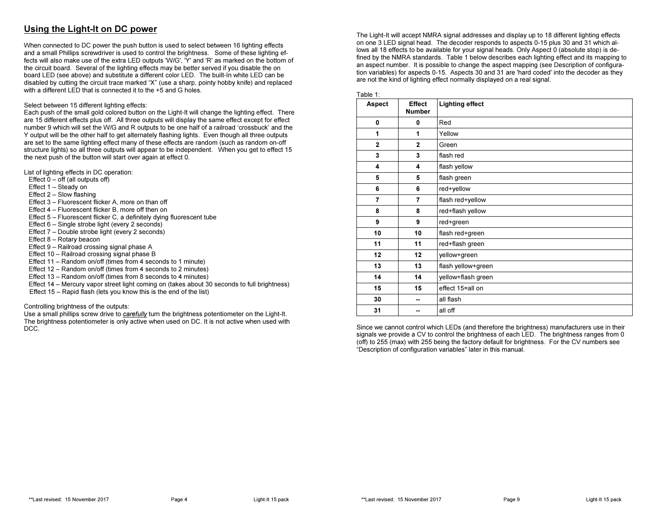# Using the Light-It on DC power

When connected to DC power the push button is used to select between 16 lighting effects and a small Phillips screwdriver is used to control the brightness. Some of these lighting effects will also make use of the extra LED outputs 'W/G', 'Y' and 'R' as marked on the bottom of the circuit board. Several of the lighting effects may be better served if you disable the on board LED (see above) and substitute a different color LED. The built-In white LED can be disabled by cutting the circuit trace marked "X" (use a sharp, pointy hobby knife) and replaced with a different LED that is connected it to the +5 and G holes.

#### Select between 15 different lighting effects:

 Each push of the small gold colored button on the Light-It will change the lighting effect. There are 15 different effects plus off. All three outputs will display the same effect except for effect number 9 which will set the W/G and R outputs to be one half of a railroad 'crossbuck' and the Y output will be the other half to get alternately flashing lights. Even though all three outputs are set to the same lighting effect many of these effects are random (such as random on-off structure lights) so all three outputs will appear to be independent. When you get to effect 15 the next push of the button will start over again at effect 0.

List of lighting effects in DC operation:

- Effect  $0 -$  off (all outputs off)
- Effect 1 Steady on
- Effect 2 Slow flashing
- Effect 3 Fluorescent flicker A, more on than off
- Effect 4 Fluorescent flicker B, more off then on
- Effect 5 Fluorescent flicker C, a definitely dying fluorescent tube
- Effect 6 Single strobe light (every 2 seconds)
- Effect 7 Double strobe light (every 2 seconds)
- Effect 8 Rotary beacon
- Effect 9 Railroad crossing signal phase A
- Effect 10 Railroad crossing signal phase B
- Effect 11 Random on/off (times from 4 seconds to 1 minute)
- Effect 12 Random on/off (times from 4 seconds to 2 minutes)
- Effect 13 Random on/off (times from 8 seconds to 4 minutes)
- Effect 14 Mercury vapor street light coming on (takes about 30 seconds to full brightness)
- Effect 15 Rapid flash (lets you know this is the end of the list)

#### Controlling brightness of the outputs:

Use a small phillips screw drive to *carefully* turn the brightness potentiometer on the Light-It. The brightness potentiometer is only active when used on DC. It is not active when used with DCC.

The Light-It will accept NMRA signal addresses and display up to 18 different lighting effects on one 3 LED signal head. The decoder responds to aspects 0-15 plus 30 and 31 which allows all 18 effects to be available for your signal heads. Only Aspect 0 (absolute stop) is defined by the NMRA standards. Table 1 below describes each lighting effect and its mapping to an aspect number. It is possible to change the aspect mapping (see Description of configuration variables) for aspects 0-15. Aspects 30 and 31 are 'hard coded' into the decoder as they are not the kind of lighting effect normally displayed on a real signal.

| Table 1:       |                                |                        |  |  |  |
|----------------|--------------------------------|------------------------|--|--|--|
| Aspect         | <b>Effect</b><br><b>Number</b> | <b>Lighting effect</b> |  |  |  |
| 0              | 0                              | Red                    |  |  |  |
| 1              | 1                              | Yellow                 |  |  |  |
| $\mathbf{2}$   | $\mathbf{2}$                   | Green                  |  |  |  |
| 3              | 3                              | flash red              |  |  |  |
| 4              | 4                              | flash yellow           |  |  |  |
| 5              | 5                              | flash green            |  |  |  |
| 6              | 6                              | red+yellow             |  |  |  |
| $\overline{7}$ | $\overline{7}$                 | flash red+yellow       |  |  |  |
| 8              | 8                              | red+flash yellow       |  |  |  |
| 9              | 9                              | red+green              |  |  |  |
| 10             | 10                             | flash red+green        |  |  |  |
| 11             | 11                             | red+flash green        |  |  |  |
| 12             | 12                             | yellow+green           |  |  |  |
| 13             | 13                             | flash yellow+green     |  |  |  |
| 14             | 14                             | yellow+flash green     |  |  |  |
| 15             | 15                             | effect 15=all on       |  |  |  |
| 30             |                                | all flash              |  |  |  |
| 31             |                                | all off                |  |  |  |

Since we cannot control which LEDs (and therefore the brightness) manufacturers use in their signals we provide a CV to control the brightness of each LED. The brightness ranges from 0 (off) to 255 (max) with 255 being the factory default for brightness. For the CV numbers see "Description of configuration variables" later in this manual.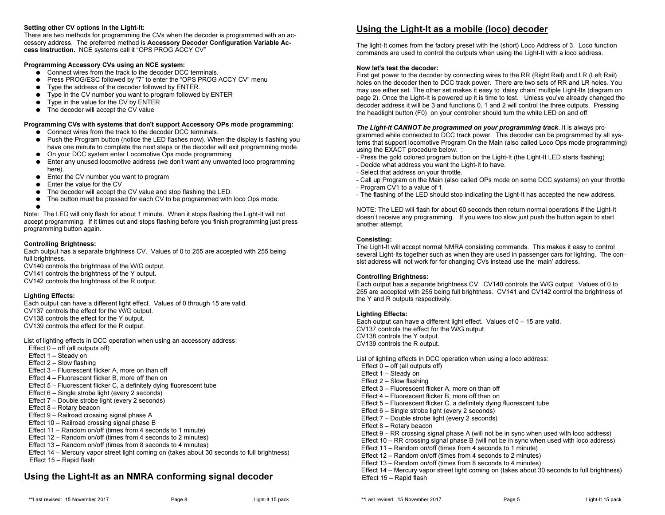#### Setting other CV options in the Light-It:

 There are two methods for programming the CVs when the decoder is programmed with an accessory address. The preferred method is Accessory Decoder Configuration Variable Access Instruction. NCE systems call it "OPS PROG ACCY CV"

# Programming Accessory CVs using an NCE system:

- Connect wires from the track to the decoder DCC terminals.<br>● Pross PROC/ESC followed by "7" to onter the "OPS PROC
- Press PROG/ESC followed by "7" to enter the "OPS PROG ACCY CV" menu<br>● Press PROG/ESC followed by followed by ENTER
- Type the address of the decoder followed by ENTER.
- Type in the CV number you want to program followed by ENTER
- $\bullet$  Type in the value for the CV by ENTER
- The decoder will accept the CV value

#### Programming CVs with systems that don't support Accessory OPs mode programming:

- Connect wires from the track to the decoder DCC terminals.<br>● Puch the Pregram button (poties the LED flashes nov), 14th
- Push the Program button (notice the LED flashes now). When the display is flashing you<br>hove and minute to complete the nove atops or the deceder will ovit programming mode have one minute to complete the next steps or the decoder will exit programming mode.
- On your DCC system enter Locomotive Ops mode programming<br>● Enter any unused locomotive address (up den't unat any unuse
- Enter any unused locomotive address (we don't want any unwanted loco programming here) here).
- Enter the CV number you want to program
- Enter the value for the CV<br>● The deceder will accept the
- $\bullet$ The decoder will accept the CV value and stop flashing the LED.
- The button must be pressed for each CV to be programmed with loco Ops mode.<br>●

● Note: The LED will only flash for about 1 minute. When it stops flashing the Light-It will not accept programming. If it times out and stops flashing before you finish programming just press programming button again.

#### Controlling Brightness:

 Each output has a separate brightness CV. Values of 0 to 255 are accepted with 255 being full brightness.

 CV140 controls the brightness of the W/G output. CV141 controls the brightness of the Y output. CV142 controls the brightness of the R output.

#### Lighting Effects:

 Each output can have a different light effect. Values of 0 through 15 are valid.CV137 controls the effect for the W/G output. CV138 controls the effect for the Y output. CV139 controls the effect for the R output.

List of lighting effects in DCC operation when using an accessory address:Effect  $0 -$  off (all outputs off) Effect 1 – Steady on Effect 2 – Slow flashing Effect 3 – Fluorescent flicker A, more on than off Effect 4 – Fluorescent flicker B, more off then on Effect 5 – Fluorescent flicker C, a definitely dying fluorescent tubeEffect 6 – Single strobe light (every 2 seconds) Effect 7 – Double strobe light (every 2 seconds) Effect 8 – Rotary beacon Effect 9 – Railroad crossing signal phase A Effect 10 – Railroad crossing signal phase B Effect 11 – Random on/off (times from 4 seconds to 1 minute) Effect 12 – Random on/off (times from 4 seconds to 2 minutes) Effect 13 – Random on/off (times from 8 seconds to 4 minutes)Effect 14 – Mercury vapor street light coming on (takes about 30 seconds to full brightness)

Effect 15 – Rapid flash

# Using the Light-It as an NMRA conforming signal decoder

The light-It comes from the factory preset with the (short) Loco Address of 3. Loco function commands are used to control the outputs when using the Light-It with a loco address.

## Now let's test the decoder:

 First get power to the decoder by connecting wires to the RR (Right Rail) and LR (Left Rail) holes on the decoder then to DCC track power. There are two sets of RR and LR holes. You may use either set. The other set makes it easy to 'daisy chain' multiple Light-Its (diagram on page 2). Once the Light-It is powered up it is time to test. Unless you've already changed the decoder address it will be 3 and functions 0, 1 and 2 will control the three outputs. Pressing the headlight button (F0) on your controller should turn the white LED on and off.

# The Light-It CANNOT be programmed on your programming track. It is always pro-

grammed while connected to DCC track power. This decoder can be programmed by all systems that support locomotive Program On the Main (also called Loco Ops mode programming)using the EXACT procedure below. :

- Press the gold colored program button on the Light-It (the Light-It LED starts flashing)
- Decide what address you want the Light-It to have.
- Select that address on your throttle.
- Call up Program on the Main (also called OPs mode on some DCC systems) on your throttle- Program CV1 to a value of 1.
- The flashing of the LED should stop indicating the Light-It has accepted the new address.

NOTE: The LED will flash for about 60 seconds then return normal operations if the Light-It doesn't receive any programming. If you were too slow just push the button again to start another attempt.

# Consisting:

 The Light-It will accept normal NMRA consisting commands. This makes it easy to control several Light-Its together such as when they are used in passenger cars for lighting. The consist address will not work for for changing CVs instead use the 'main' address.

# Controlling Brightness:

 Each output has a separate brightness CV. CV140 controls the W/G output. Values of 0 to 255 are accepted with 255 being full brightness. CV141 and CV142 control the brightness of the Y and R outputs respectively.

#### Lighting Effects:

 Each output can have a different light effect. Values of 0 – 15 are valid. CV137 controls the effect for the W/G output. CV138 controls the Y output.CV139 controls the R output.

List of lighting effects in DCC operation when using a loco address:Effect  $0 -$  off (all outputs off) Effect 1 – Steady on Effect 2 – Slow flashing Effect 3 – Fluorescent flicker A, more on than off Effect 4 – Fluorescent flicker B, more off then on Effect 5 – Fluorescent flicker C, a definitely dying fluorescent tubeEffect 6 – Single strobe light (every 2 seconds) Effect 7 – Double strobe light (every 2 seconds) Effect 8 – Rotary beacon Effect 9 – RR crossing signal phase A (will not be in sync when used with loco address) Effect 10 – RR crossing signal phase B (will not be in sync when used with loco address)Effect 11 – Random on/off (times from 4 seconds to 1 minute) Effect 12 – Random on/off (times from 4 seconds to 2 minutes) Effect 13 – Random on/off (times from 8 seconds to 4 minutes) Effect 14 – Mercury vapor street light coming on (takes about 30 seconds to full brightness)Effect 15 – Rapid flash